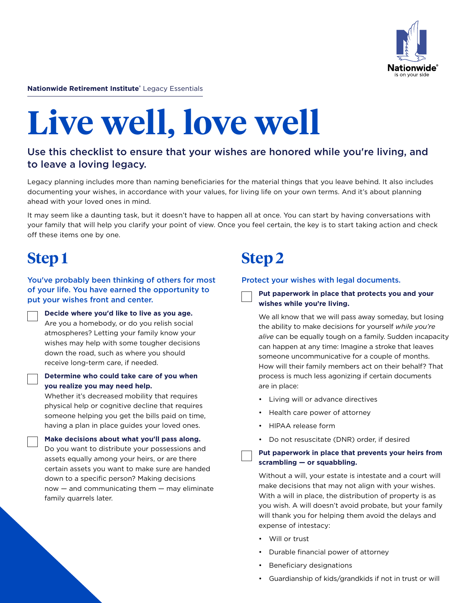

**Nationwide Retirement Institute®** Legacy Essentials

# **Live well, love well**

## Use this checklist to ensure that your wishes are honored while you're living, and to leave a loving legacy.

Legacy planning includes more than naming beneficiaries for the material things that you leave behind. It also includes documenting your wishes, in accordance with your values, for living life on your own terms. And it's about planning ahead with your loved ones in mind.

It may seem like a daunting task, but it doesn't have to happen all at once. You can start by having conversations with your family that will help you clarify your point of view. Once you feel certain, the key is to start taking action and check off these items one by one.

## **Step 1**

You've probably been thinking of others for most of your life. You have earned the opportunity to put your wishes front and center.

**Decide where you'd like to live as you age.**  Are you a homebody, or do you relish social atmospheres? Letting your family know your wishes may help with some tougher decisions down the road, such as where you should receive long-term care, if needed.

#### **Determine who could take care of you when you realize you may need help.**

Whether it's decreased mobility that requires physical help or cognitive decline that requires someone helping you get the bills paid on time, having a plan in place guides your loved ones.

**Make decisions about what you'll pass along.** Do you want to distribute your possessions and assets equally among your heirs, or are there certain assets you want to make sure are handed down to a specific person? Making decisions now — and communicating them — may eliminate family quarrels later.

## **Step 2**

#### Protect your wishes with legal documents.

**Put paperwork in place that protects you and your wishes while you're living.** 

We all know that we will pass away someday, but losing the ability to make decisions for yourself *while you're alive* can be equally tough on a family. Sudden incapacity can happen at any time: Imagine a stroke that leaves someone uncommunicative for a couple of months. How will their family members act on their behalf? That process is much less agonizing if certain documents are in place:

- Living will or advance directives
- Health care power of attorney
- HIPAA release form
- Do not resuscitate (DNR) order, if desired

#### **Put paperwork in place that prevents your heirs from scrambling — or squabbling.**

Without a will, your estate is intestate and a court will make decisions that may not align with your wishes. With a will in place, the distribution of property is as you wish. A will doesn't avoid probate, but your family will thank you for helping them avoid the delays and expense of intestacy:

- Will or trust
- Durable financial power of attorney
- Beneficiary designations
- Guardianship of kids/grandkids if not in trust or will